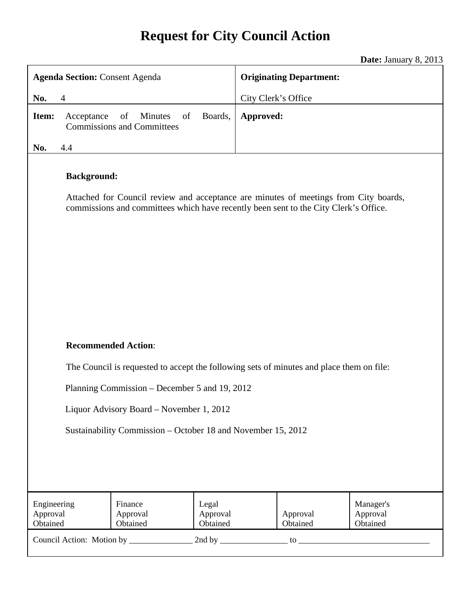# **Request for City Council Action**

**Date:** January 8, 2013

| <b>Agenda Section: Consent Agenda</b>                                                                                                                                                              |                                                                                          |                               | <b>Originating Department:</b> |                      |                                   |  |
|----------------------------------------------------------------------------------------------------------------------------------------------------------------------------------------------------|------------------------------------------------------------------------------------------|-------------------------------|--------------------------------|----------------------|-----------------------------------|--|
| $\overline{4}$<br>No.                                                                                                                                                                              |                                                                                          |                               | City Clerk's Office            |                      |                                   |  |
| Item:<br>Acceptance                                                                                                                                                                                | of<br>of<br>Minutes<br><b>Commissions and Committees</b>                                 | Boards,                       | Approved:                      |                      |                                   |  |
| No.<br>4.4                                                                                                                                                                                         |                                                                                          |                               |                                |                      |                                   |  |
| <b>Background:</b><br>Attached for Council review and acceptance are minutes of meetings from City boards,<br>commissions and committees which have recently been sent to the City Clerk's Office. |                                                                                          |                               |                                |                      |                                   |  |
| <b>Recommended Action:</b>                                                                                                                                                                         |                                                                                          |                               |                                |                      |                                   |  |
|                                                                                                                                                                                                    | The Council is requested to accept the following sets of minutes and place them on file: |                               |                                |                      |                                   |  |
| Planning Commission – December 5 and 19, 2012                                                                                                                                                      |                                                                                          |                               |                                |                      |                                   |  |
|                                                                                                                                                                                                    |                                                                                          |                               |                                |                      |                                   |  |
| Liquor Advisory Board – November 1, 2012                                                                                                                                                           |                                                                                          |                               |                                |                      |                                   |  |
| Sustainability Commission – October 18 and November 15, 2012                                                                                                                                       |                                                                                          |                               |                                |                      |                                   |  |
| Engineering<br>Approval<br>Obtained                                                                                                                                                                | Finance<br>Approval<br>Obtained                                                          | Legal<br>Approval<br>Obtained |                                | Approval<br>Obtained | Manager's<br>Approval<br>Obtained |  |
|                                                                                                                                                                                                    |                                                                                          |                               |                                |                      |                                   |  |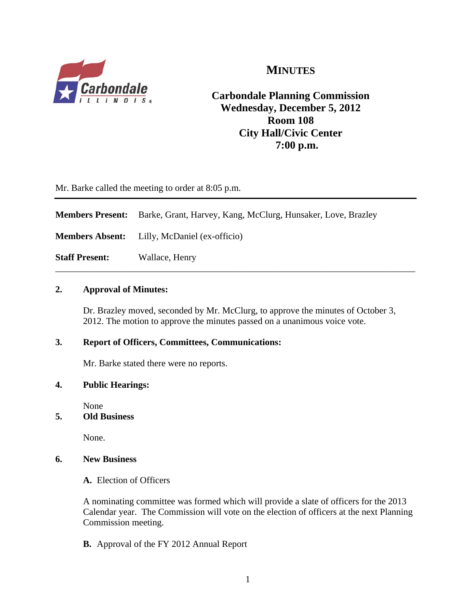

### **MINUTES**

**Carbondale Planning Commission Wednesday, December 5, 2012 Room 108 City Hall/Civic Center 7:00 p.m.**

Mr. Barke called the meeting to order at 8:05 p.m.

**Members Present:** Barke, Grant, Harvey, Kang, McClurg, Hunsaker, Love, Brazley **Members Absent:** Lilly, McDaniel (ex-officio) **Staff Present:** Wallace, Henry \_\_\_\_\_\_\_\_\_\_\_\_\_\_\_\_\_\_\_\_\_\_\_\_\_\_\_\_\_\_\_\_\_\_\_\_\_\_\_\_\_\_\_\_\_\_\_\_\_\_\_\_\_\_\_\_\_\_\_\_\_\_\_\_\_\_\_\_\_\_\_\_\_\_\_\_\_\_

#### **2. Approval of Minutes:**

Dr. Brazley moved, seconded by Mr. McClurg, to approve the minutes of October 3, 2012. The motion to approve the minutes passed on a unanimous voice vote.

#### **3. Report of Officers, Committees, Communications:**

Mr. Barke stated there were no reports.

#### **4. Public Hearings:**

None

#### **5. Old Business**

None.

#### **6. New Business**

**A.** Election of Officers

A nominating committee was formed which will provide a slate of officers for the 2013 Calendar year. The Commission will vote on the election of officers at the next Planning Commission meeting.

**B.** Approval of the FY 2012 Annual Report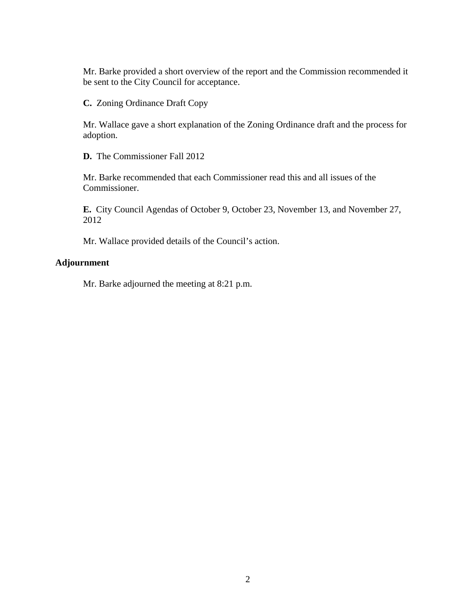Mr. Barke provided a short overview of the report and the Commission recommended it be sent to the City Council for acceptance.

**C.** Zoning Ordinance Draft Copy

Mr. Wallace gave a short explanation of the Zoning Ordinance draft and the process for adoption.

**D.** The Commissioner Fall 2012

Mr. Barke recommended that each Commissioner read this and all issues of the Commissioner.

**E.** City Council Agendas of October 9, October 23, November 13, and November 27, 2012

Mr. Wallace provided details of the Council's action.

#### **Adjournment**

Mr. Barke adjourned the meeting at 8:21 p.m.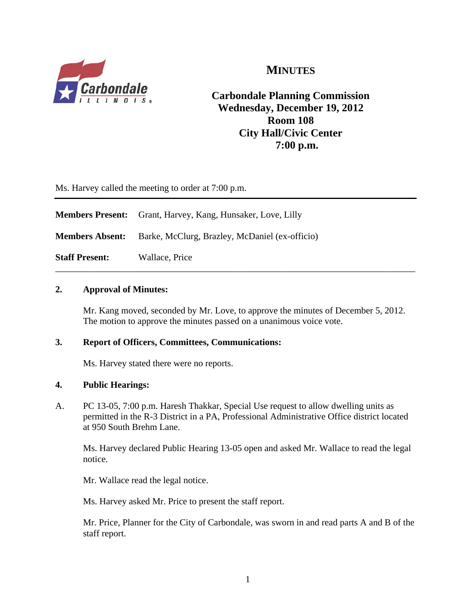

### **MINUTES**

**Carbondale Planning Commission Wednesday, December 19, 2012 Room 108 City Hall/Civic Center 7:00 p.m.**

Ms. Harvey called the meeting to order at 7:00 p.m.

|                        | <b>Members Present:</b> Grant, Harvey, Kang, Hunsaker, Love, Lilly |  |
|------------------------|--------------------------------------------------------------------|--|
| <b>Members Absent:</b> | Barke, McClurg, Brazley, McDaniel (ex-officio)                     |  |
| <b>Staff Present:</b>  | Wallace, Price                                                     |  |

#### **2. Approval of Minutes:**

Mr. Kang moved, seconded by Mr. Love, to approve the minutes of December 5, 2012. The motion to approve the minutes passed on a unanimous voice vote.

#### **3. Report of Officers, Committees, Communications:**

Ms. Harvey stated there were no reports.

#### **4. Public Hearings:**

A. PC 13-05, 7:00 p.m. Haresh Thakkar, Special Use request to allow dwelling units as permitted in the R-3 District in a PA, Professional Administrative Office district located at 950 South Brehm Lane.

 Ms. Harvey declared Public Hearing 13-05 open and asked Mr. Wallace to read the legal notice.

Mr. Wallace read the legal notice.

Ms. Harvey asked Mr. Price to present the staff report.

Mr. Price, Planner for the City of Carbondale, was sworn in and read parts A and B of the staff report.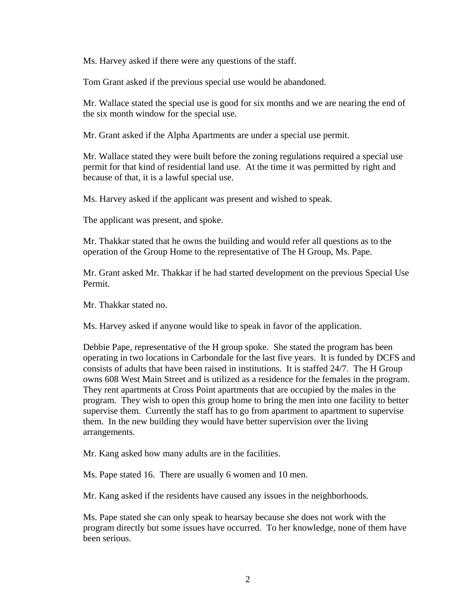Ms. Harvey asked if there were any questions of the staff.

Tom Grant asked if the previous special use would be abandoned.

 Mr. Wallace stated the special use is good for six months and we are nearing the end of the six month window for the special use.

Mr. Grant asked if the Alpha Apartments are under a special use permit.

Mr. Wallace stated they were built before the zoning regulations required a special use permit for that kind of residential land use. At the time it was permitted by right and because of that, it is a lawful special use.

Ms. Harvey asked if the applicant was present and wished to speak.

The applicant was present, and spoke.

Mr. Thakkar stated that he owns the building and would refer all questions as to the operation of the Group Home to the representative of The H Group, Ms. Pape.

Mr. Grant asked Mr. Thakkar if he had started development on the previous Special Use Permit.

Mr. Thakkar stated no.

Ms. Harvey asked if anyone would like to speak in favor of the application.

Debbie Pape, representative of the H group spoke. She stated the program has been operating in two locations in Carbondale for the last five years. It is funded by DCFS and consists of adults that have been raised in institutions. It is staffed 24/7. The H Group owns 608 West Main Street and is utilized as a residence for the females in the program. They rent apartments at Cross Point apartments that are occupied by the males in the program. They wish to open this group home to bring the men into one facility to better supervise them. Currently the staff has to go from apartment to apartment to supervise them. In the new building they would have better supervision over the living arrangements.

Mr. Kang asked how many adults are in the facilities.

Ms. Pape stated 16. There are usually 6 women and 10 men.

Mr. Kang asked if the residents have caused any issues in the neighborhoods.

Ms. Pape stated she can only speak to hearsay because she does not work with the program directly but some issues have occurred. To her knowledge, none of them have been serious.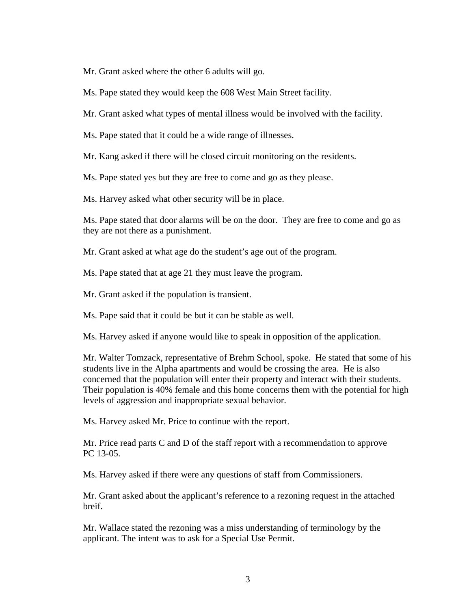Mr. Grant asked where the other 6 adults will go.

Ms. Pape stated they would keep the 608 West Main Street facility.

Mr. Grant asked what types of mental illness would be involved with the facility.

Ms. Pape stated that it could be a wide range of illnesses.

Mr. Kang asked if there will be closed circuit monitoring on the residents.

Ms. Pape stated yes but they are free to come and go as they please.

Ms. Harvey asked what other security will be in place.

Ms. Pape stated that door alarms will be on the door. They are free to come and go as they are not there as a punishment.

Mr. Grant asked at what age do the student's age out of the program.

Ms. Pape stated that at age 21 they must leave the program.

Mr. Grant asked if the population is transient.

Ms. Pape said that it could be but it can be stable as well.

Ms. Harvey asked if anyone would like to speak in opposition of the application.

Mr. Walter Tomzack, representative of Brehm School, spoke. He stated that some of his students live in the Alpha apartments and would be crossing the area. He is also concerned that the population will enter their property and interact with their students. Their population is 40% female and this home concerns them with the potential for high levels of aggression and inappropriate sexual behavior.

Ms. Harvey asked Mr. Price to continue with the report.

 Mr. Price read parts C and D of the staff report with a recommendation to approve PC 13-05.

Ms. Harvey asked if there were any questions of staff from Commissioners.

Mr. Grant asked about the applicant's reference to a rezoning request in the attached breif.

Mr. Wallace stated the rezoning was a miss understanding of terminology by the applicant. The intent was to ask for a Special Use Permit.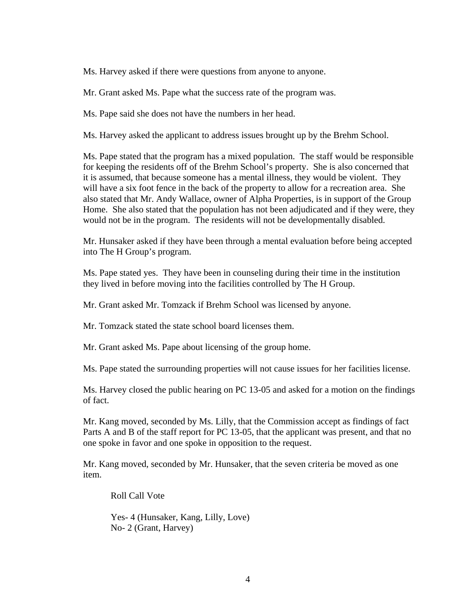Ms. Harvey asked if there were questions from anyone to anyone.

Mr. Grant asked Ms. Pape what the success rate of the program was.

Ms. Pape said she does not have the numbers in her head.

Ms. Harvey asked the applicant to address issues brought up by the Brehm School.

Ms. Pape stated that the program has a mixed population. The staff would be responsible for keeping the residents off of the Brehm School's property. She is also concerned that it is assumed, that because someone has a mental illness, they would be violent. They will have a six foot fence in the back of the property to allow for a recreation area. She also stated that Mr. Andy Wallace, owner of Alpha Properties, is in support of the Group Home. She also stated that the population has not been adjudicated and if they were, they would not be in the program. The residents will not be developmentally disabled.

Mr. Hunsaker asked if they have been through a mental evaluation before being accepted into The H Group's program.

Ms. Pape stated yes. They have been in counseling during their time in the institution they lived in before moving into the facilities controlled by The H Group.

Mr. Grant asked Mr. Tomzack if Brehm School was licensed by anyone.

Mr. Tomzack stated the state school board licenses them.

Mr. Grant asked Ms. Pape about licensing of the group home.

Ms. Pape stated the surrounding properties will not cause issues for her facilities license.

Ms. Harvey closed the public hearing on PC 13-05 and asked for a motion on the findings of fact.

Mr. Kang moved, seconded by Ms. Lilly, that the Commission accept as findings of fact Parts A and B of the staff report for PC 13-05, that the applicant was present, and that no one spoke in favor and one spoke in opposition to the request.

Mr. Kang moved, seconded by Mr. Hunsaker, that the seven criteria be moved as one item.

Roll Call Vote

 Yes- 4 (Hunsaker, Kang, Lilly, Love) No- 2 (Grant, Harvey)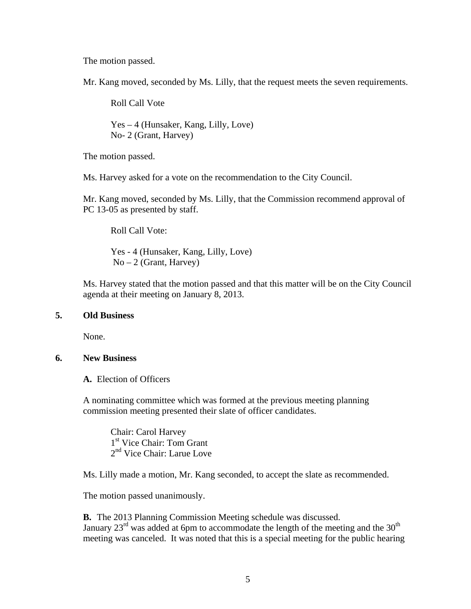The motion passed.

Mr. Kang moved, seconded by Ms. Lilly, that the request meets the seven requirements.

Roll Call Vote

 Yes – 4 (Hunsaker, Kang, Lilly, Love) No- 2 (Grant, Harvey)

The motion passed.

Ms. Harvey asked for a vote on the recommendation to the City Council.

Mr. Kang moved, seconded by Ms. Lilly, that the Commission recommend approval of PC 13-05 as presented by staff.

Roll Call Vote:

Yes - 4 (Hunsaker, Kang, Lilly, Love)  $No-2$  (Grant, Harvey)

Ms. Harvey stated that the motion passed and that this matter will be on the City Council agenda at their meeting on January 8, 2013.

#### **5. Old Business**

None.

#### **6. New Business**

**A.** Election of Officers

A nominating committee which was formed at the previous meeting planning commission meeting presented their slate of officer candidates.

 Chair: Carol Harvey 1<sup>st</sup> Vice Chair: Tom Grant 2<sup>nd</sup> Vice Chair: Larue Love

Ms. Lilly made a motion, Mr. Kang seconded, to accept the slate as recommended.

The motion passed unanimously.

**B.** The 2013 Planning Commission Meeting schedule was discussed. January 23<sup>rd</sup> was added at 6pm to accommodate the length of the meeting and the 30<sup>th</sup> meeting was canceled. It was noted that this is a special meeting for the public hearing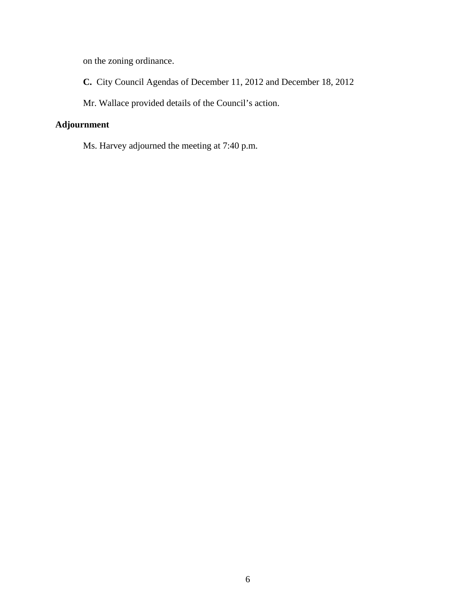on the zoning ordinance.

**C.** City Council Agendas of December 11, 2012 and December 18, 2012

Mr. Wallace provided details of the Council's action.

### **Adjournment**

Ms. Harvey adjourned the meeting at 7:40 p.m.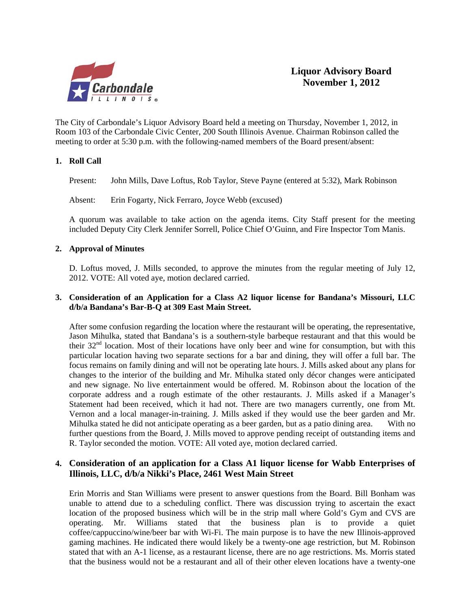

The City of Carbondale's Liquor Advisory Board held a meeting on Thursday, November 1, 2012, in Room 103 of the Carbondale Civic Center, 200 South Illinois Avenue. Chairman Robinson called the meeting to order at 5:30 p.m. with the following-named members of the Board present/absent:

#### **1. Roll Call**

Present: John Mills, Dave Loftus, Rob Taylor, Steve Payne (entered at 5:32), Mark Robinson

Absent: Erin Fogarty, Nick Ferraro, Joyce Webb (excused)

A quorum was available to take action on the agenda items. City Staff present for the meeting included Deputy City Clerk Jennifer Sorrell, Police Chief O'Guinn, and Fire Inspector Tom Manis.

#### **2. Approval of Minutes**

D. Loftus moved, J. Mills seconded, to approve the minutes from the regular meeting of July 12, 2012. VOTE: All voted aye, motion declared carried.

#### **3. Consideration of an Application for a Class A2 liquor license for Bandana's Missouri, LLC d/b/a Bandana's Bar-B-Q at 309 East Main Street.**

 After some confusion regarding the location where the restaurant will be operating, the representative, Jason Mihulka, stated that Bandana's is a southern-style barbeque restaurant and that this would be their 32nd location. Most of their locations have only beer and wine for consumption, but with this particular location having two separate sections for a bar and dining, they will offer a full bar. The focus remains on family dining and will not be operating late hours. J. Mills asked about any plans for changes to the interior of the building and Mr. Mihulka stated only décor changes were anticipated and new signage. No live entertainment would be offered. M. Robinson about the location of the corporate address and a rough estimate of the other restaurants. J. Mills asked if a Manager's Statement had been received, which it had not. There are two managers currently, one from Mt. Vernon and a local manager-in-training. J. Mills asked if they would use the beer garden and Mr. Mihulka stated he did not anticipate operating as a beer garden, but as a patio dining area. With no further questions from the Board, J. Mills moved to approve pending receipt of outstanding items and R. Taylor seconded the motion. VOTE: All voted aye, motion declared carried.

#### **4. Consideration of an application for a Class A1 liquor license for Wabb Enterprises of Illinois, LLC, d/b/a Nikki's Place, 2461 West Main Street**

Erin Morris and Stan Williams were present to answer questions from the Board. Bill Bonham was unable to attend due to a scheduling conflict. There was discussion trying to ascertain the exact location of the proposed business which will be in the strip mall where Gold's Gym and CVS are operating. Mr. Williams stated that the business plan is to provide a quiet coffee/cappuccino/wine/beer bar with Wi-Fi. The main purpose is to have the new Illinois-approved gaming machines. He indicated there would likely be a twenty-one age restriction, but M. Robinson stated that with an A-1 license, as a restaurant license, there are no age restrictions. Ms. Morris stated that the business would not be a restaurant and all of their other eleven locations have a twenty-one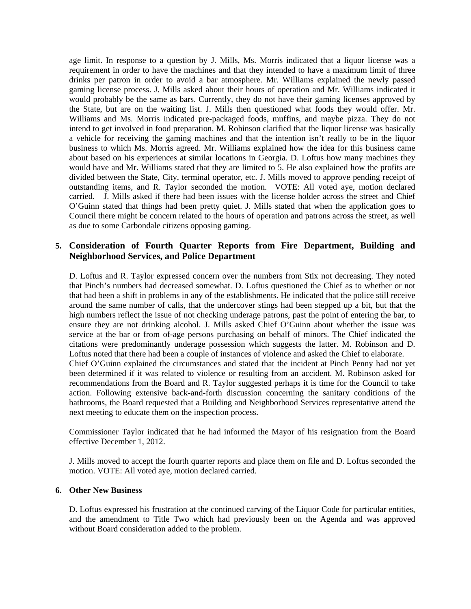age limit. In response to a question by J. Mills, Ms. Morris indicated that a liquor license was a requirement in order to have the machines and that they intended to have a maximum limit of three drinks per patron in order to avoid a bar atmosphere. Mr. Williams explained the newly passed gaming license process. J. Mills asked about their hours of operation and Mr. Williams indicated it would probably be the same as bars. Currently, they do not have their gaming licenses approved by the State, but are on the waiting list. J. Mills then questioned what foods they would offer. Mr. Williams and Ms. Morris indicated pre-packaged foods, muffins, and maybe pizza. They do not intend to get involved in food preparation. M. Robinson clarified that the liquor license was basically a vehicle for receiving the gaming machines and that the intention isn't really to be in the liquor business to which Ms. Morris agreed. Mr. Williams explained how the idea for this business came about based on his experiences at similar locations in Georgia. D. Loftus how many machines they would have and Mr. Williams stated that they are limited to 5. He also explained how the profits are divided between the State, City, terminal operator, etc. J. Mills moved to approve pending receipt of outstanding items, and R. Taylor seconded the motion. VOTE: All voted aye, motion declared carried. J. Mills asked if there had been issues with the license holder across the street and Chief O'Guinn stated that things had been pretty quiet. J. Mills stated that when the application goes to Council there might be concern related to the hours of operation and patrons across the street, as well as due to some Carbondale citizens opposing gaming.

#### **5. Consideration of Fourth Quarter Reports from Fire Department, Building and Neighborhood Services, and Police Department**

 D. Loftus and R. Taylor expressed concern over the numbers from Stix not decreasing. They noted that Pinch's numbers had decreased somewhat. D. Loftus questioned the Chief as to whether or not that had been a shift in problems in any of the establishments. He indicated that the police still receive around the same number of calls, that the undercover stings had been stepped up a bit, but that the high numbers reflect the issue of not checking underage patrons, past the point of entering the bar, to ensure they are not drinking alcohol. J. Mills asked Chief O'Guinn about whether the issue was service at the bar or from of-age persons purchasing on behalf of minors. The Chief indicated the citations were predominantly underage possession which suggests the latter. M. Robinson and D. Loftus noted that there had been a couple of instances of violence and asked the Chief to elaborate. Chief O'Guinn explained the circumstances and stated that the incident at Pinch Penny had not yet been determined if it was related to violence or resulting from an accident. M. Robinson asked for recommendations from the Board and R. Taylor suggested perhaps it is time for the Council to take action. Following extensive back-and-forth discussion concerning the sanitary conditions of the bathrooms, the Board requested that a Building and Neighborhood Services representative attend the next meeting to educate them on the inspection process.

Commissioner Taylor indicated that he had informed the Mayor of his resignation from the Board effective December 1, 2012.

 J. Mills moved to accept the fourth quarter reports and place them on file and D. Loftus seconded the motion. VOTE: All voted aye, motion declared carried.

#### **6. Other New Business**

D. Loftus expressed his frustration at the continued carving of the Liquor Code for particular entities, and the amendment to Title Two which had previously been on the Agenda and was approved without Board consideration added to the problem.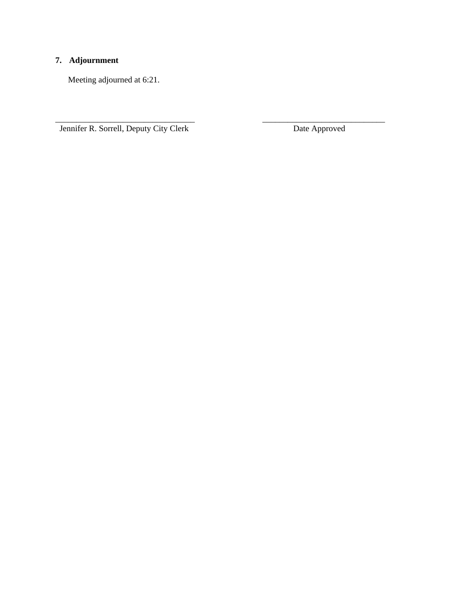### **7. Adjournment**

Meeting adjourned at 6:21.

Jennifer R. Sorrell, Deputy City Clerk Date Approved

\_\_\_\_\_\_\_\_\_\_\_\_\_\_\_\_\_\_\_\_\_\_\_\_\_\_\_\_\_\_\_\_\_ \_\_\_\_\_\_\_\_\_\_\_\_\_\_\_\_\_\_\_\_\_\_\_\_\_\_\_\_\_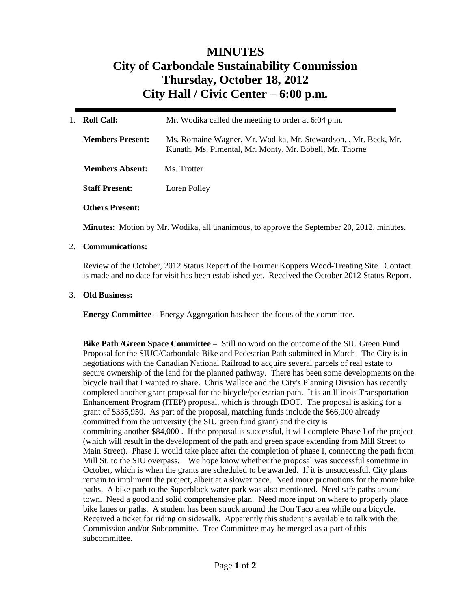# **MINUTES City of Carbondale Sustainability Commission Thursday, October 18, 2012 City Hall / Civic Center – 6:00 p.m***.*

| $1_{-}$ | <b>Roll Call:</b>       | Mr. Wodika called the meeting to order at 6:04 p.m.                                                                        |  |
|---------|-------------------------|----------------------------------------------------------------------------------------------------------------------------|--|
|         | <b>Members Present:</b> | Ms. Romaine Wagner, Mr. Wodika, Mr. Stewardson, , Mr. Beck, Mr.<br>Kunath, Ms. Pimental, Mr. Monty, Mr. Bobell, Mr. Thorne |  |
|         | <b>Members Absent:</b>  | Ms. Trotter                                                                                                                |  |
|         | <b>Staff Present:</b>   | Loren Polley                                                                                                               |  |
|         | <b>Others Present:</b>  |                                                                                                                            |  |

**Minutes**: Motion by Mr. Wodika, all unanimous, to approve the September 20, 2012, minutes.

#### 2. **Communications:**

Review of the October, 2012 Status Report of the Former Koppers Wood-Treating Site. Contact is made and no date for visit has been established yet. Received the October 2012 Status Report.

#### 3. **Old Business:**

**Energy Committee –** Energy Aggregation has been the focus of the committee.

**Bike Path /Green Space Committee** – Still no word on the outcome of the SIU Green Fund Proposal for the SIUC/Carbondale Bike and Pedestrian Path submitted in March. The City is in negotiations with the Canadian National Railroad to acquire several parcels of real estate to secure ownership of the land for the planned pathway. There has been some developments on the bicycle trail that I wanted to share. Chris Wallace and the City's Planning Division has recently completed another grant proposal for the bicycle/pedestrian path. It is an Illinois Transportation Enhancement Program (ITEP) proposal, which is through IDOT. The proposal is asking for a grant of \$335,950. As part of the proposal, matching funds include the \$66,000 already committed from the university (the SIU green fund grant) and the city is committing another \$84,000 . If the proposal is successful, it will complete Phase I of the project (which will result in the development of the path and green space extending from Mill Street to Main Street). Phase II would take place after the completion of phase I, connecting the path from Mill St. to the SIU overpass. We hope know whether the proposal was successful sometime in October, which is when the grants are scheduled to be awarded. If it is unsuccessful, City plans remain to impliment the project, albeit at a slower pace. Need more promotions for the more bike paths. A bike path to the Superblock water park was also mentioned. Need safe paths around town. Need a good and solid comprehensive plan. Need more input on where to properly place bike lanes or paths. A student has been struck around the Don Taco area while on a bicycle. Received a ticket for riding on sidewalk. Apparently this student is available to talk with the Commission and/or Subcommitte. Tree Committee may be merged as a part of this subcommittee.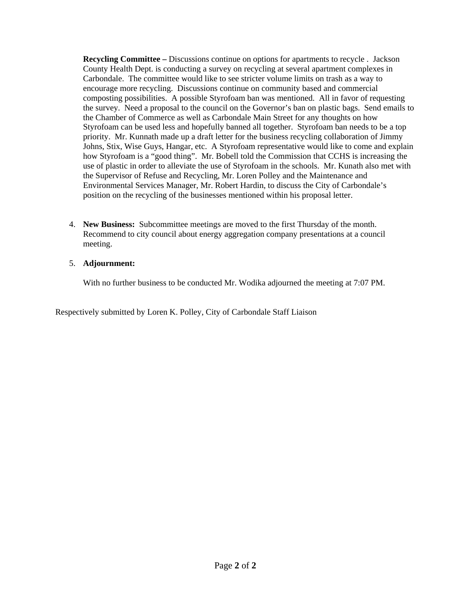**Recycling Committee –** Discussions continue on options for apartments to recycle . Jackson County Health Dept. is conducting a survey on recycling at several apartment complexes in Carbondale. The committee would like to see stricter volume limits on trash as a way to encourage more recycling. Discussions continue on community based and commercial composting possibilities. A possible Styrofoam ban was mentioned. All in favor of requesting the survey. Need a proposal to the council on the Governor's ban on plastic bags. Send emails to the Chamber of Commerce as well as Carbondale Main Street for any thoughts on how Styrofoam can be used less and hopefully banned all together. Styrofoam ban needs to be a top priority. Mr. Kunnath made up a draft letter for the business recycling collaboration of Jimmy Johns, Stix, Wise Guys, Hangar, etc. A Styrofoam representative would like to come and explain how Styrofoam is a "good thing". Mr. Bobell told the Commission that CCHS is increasing the use of plastic in order to alleviate the use of Styrofoam in the schools. Mr. Kunath also met with the Supervisor of Refuse and Recycling, Mr. Loren Polley and the Maintenance and Environmental Services Manager, Mr. Robert Hardin, to discuss the City of Carbondale's position on the recycling of the businesses mentioned within his proposal letter.

4. **New Business:** Subcommittee meetings are moved to the first Thursday of the month. Recommend to city council about energy aggregation company presentations at a council meeting.

#### 5. **Adjournment:**

With no further business to be conducted Mr. Wodika adjourned the meeting at 7:07 PM.

Respectively submitted by Loren K. Polley, City of Carbondale Staff Liaison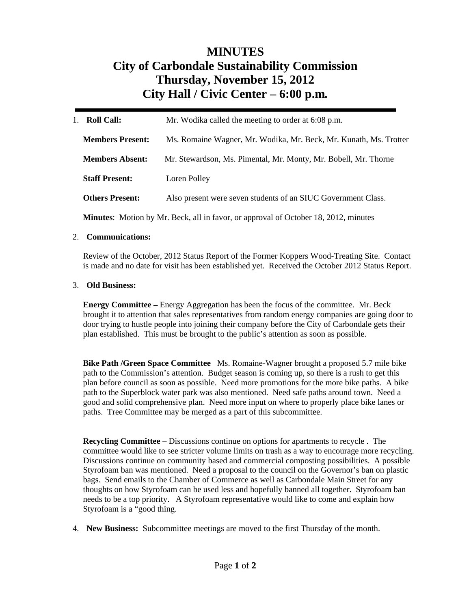# **MINUTES City of Carbondale Sustainability Commission Thursday, November 15, 2012 City Hall / Civic Center – 6:00 p.m***.*

| <b>Roll Call:</b><br>$1_{-}$ | Mr. Wodika called the meeting to order at 6:08 p.m.               |  |
|------------------------------|-------------------------------------------------------------------|--|
| <b>Members Present:</b>      | Ms. Romaine Wagner, Mr. Wodika, Mr. Beck, Mr. Kunath, Ms. Trotter |  |
| <b>Members Absent:</b>       | Mr. Stewardson, Ms. Pimental, Mr. Monty, Mr. Bobell, Mr. Thorne   |  |
| <b>Staff Present:</b>        | Loren Polley                                                      |  |
| <b>Others Present:</b>       | Also present were seven students of an SIUC Government Class.     |  |
|                              |                                                                   |  |

**Minutes**: Motion by Mr. Beck, all in favor, or approval of October 18, 2012, minutes

#### 2. **Communications:**

Review of the October, 2012 Status Report of the Former Koppers Wood-Treating Site. Contact is made and no date for visit has been established yet. Received the October 2012 Status Report.

#### 3. **Old Business:**

**Energy Committee –** Energy Aggregation has been the focus of the committee. Mr. Beck brought it to attention that sales representatives from random energy companies are going door to door trying to hustle people into joining their company before the City of Carbondale gets their plan established. This must be brought to the public's attention as soon as possible.

**Bike Path /Green Space Committee** Ms. Romaine-Wagner brought a proposed 5.7 mile bike path to the Commission's attention. Budget season is coming up, so there is a rush to get this plan before council as soon as possible. Need more promotions for the more bike paths. A bike path to the Superblock water park was also mentioned. Need safe paths around town. Need a good and solid comprehensive plan. Need more input on where to properly place bike lanes or paths. Tree Committee may be merged as a part of this subcommittee.

**Recycling Committee –** Discussions continue on options for apartments to recycle . The committee would like to see stricter volume limits on trash as a way to encourage more recycling. Discussions continue on community based and commercial composting possibilities. A possible Styrofoam ban was mentioned. Need a proposal to the council on the Governor's ban on plastic bags. Send emails to the Chamber of Commerce as well as Carbondale Main Street for any thoughts on how Styrofoam can be used less and hopefully banned all together. Styrofoam ban needs to be a top priority. A Styrofoam representative would like to come and explain how Styrofoam is a "good thing.

4. **New Business:** Subcommittee meetings are moved to the first Thursday of the month.